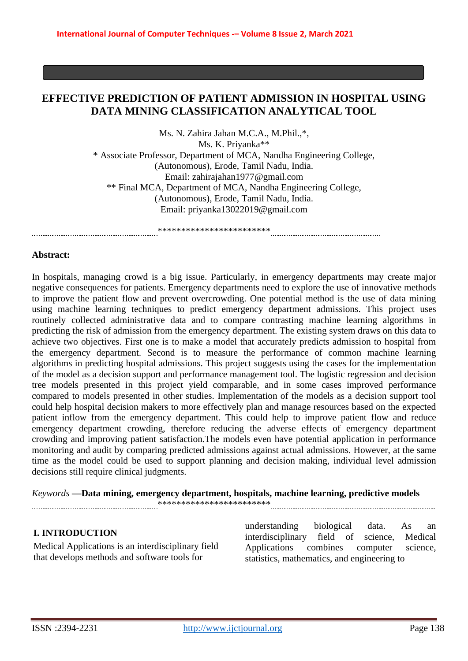# **EFFECTIVE PREDICTION OF PATIENT ADMISSION IN HOSPITAL USING DATA MINING CLASSIFICATION ANALYTICAL TOOL**

Ms. N. Zahira Jahan M.C.A., M.Phil.,\*, Ms. K. Priyanka\*\* \* Associate Professor, Department of MCA, Nandha Engineering College, (Autonomous), Erode, Tamil Nadu, India. Em[ail: zahirajahan1977@gmail.com](mailto:zahirajahan1977@gmail.com) \*\* Final MCA, Department of MCA, Nandha Engineering College, (Autonomous), Erode, Tamil Nadu, India. Em[ail: priyanka1302201](mailto:priyanka13022019@gmail.com)[9@gmail.com](mailto:9@gmail.com)

\*\*\*\*\*\*\*\*\*\*\*\*\*\*\*\*\*\*\*\*\*\*\*\*

#### **Abstract:**

In hospitals, managing crowd is a big issue. Particularly, in emergency departments may create major negative consequences for patients. Emergency departments need to explore the use of innovative methods to improve the patient flow and prevent overcrowding. One potential method is the use of data mining using machine learning techniques to predict emergency department admissions. This project uses routinely collected administrative data and to compare contrasting machine learning algorithms in predicting the risk of admission from the emergency department. The existing system draws on this data to achieve two objectives. First one is to make a model that accurately predicts admission to hospital from the emergency department. Second is to measure the performance of common machine learning algorithms in predicting hospital admissions. This project suggests using the cases for the implementation of the model as a decision support and performance management tool. The logistic regression and decision tree models presented in this project yield comparable, and in some cases improved performance compared to models presented in other studies. Implementation of the models as a decision support tool could help hospital decision makers to more effectively plan and manage resources based on the expected patient inflow from the emergency department. This could help to improve patient flow and reduce emergency department crowding, therefore reducing the adverse effects of emergency department crowding and improving patient satisfaction.The models even have potential application in performance monitoring and audit by comparing predicted admissions against actual admissions. However, at the same time as the model could be used to support planning and decision making, individual level admission decisions still require clinical judgments.

*Keywords* **—Data mining, emergency department, hospitals, machine learning, predictive models**

\*\*\*\*\*\*\*\*\*\*\*\*\*\*\*\*\*\*\*\*\*\*\*\*

#### **I. INTRODUCTION**

Medical Applications is an interdisciplinary field that develops methods and software tools for

understanding biological data. As an interdisciplinary field of science, Medical Applications combines computer science, statistics, mathematics, and engineering to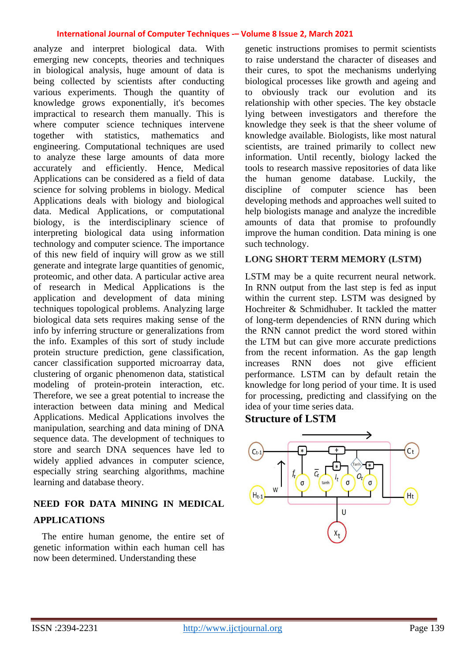analyze and interpret biological data. With emerging new concepts, theories and techniques in biological analysis, huge amount of data is being collected by scientists after conducting various experiments. Though the quantity of knowledge grows exponentially, it's becomes impractical to research them manually. This is where computer science techniques intervene<br>together with statistics, mathematics and together with statistics, mathematics and engineering. Computational techniques are used to analyze these large amounts of data more accurately and efficiently. Hence, Medical Applications can be considered as a field of data science for solving problems in biology. Medical Applications deals with biology and biological data. Medical Applications, or computational biology, is the interdisciplinary science of interpreting biological data using information technology and computer science. The importance of this new field of inquiry will grow as we still generate and integrate large quantities of genomic, proteomic, and other data. A particular active area of research in Medical Applications is the application and development of data mining techniques topological problems. Analyzing large biological data sets requires making sense of the info by inferring structure or generalizations from the info. Examples of this sort of study include protein structure prediction, gene classification, cancer classification supported microarray data, clustering of organic phenomenon data, statistical modeling of protein-protein interaction, etc. Therefore, we see a great potential to increase the interaction between data mining and Medical Applications. Medical Applications involves the manipulation, searching and data mining of DNA sequence data. The development of techniques to store and search DNA sequences have led to widely applied advances in computer science, especially string searching algorithms, machine learning and database theory.

# **NEED FOR DATA MINING IN MEDICAL APPLICATIONS**

The entire human genome, the entire set of genetic information within each human cell has now been determined. Understanding these

genetic instructions promises to permit scientists to raise understand the character of diseases and their cures, to spot the mechanisms underlying biological processes like growth and ageing and to obviously track our evolution and its relationship with other species. The key obstacle lying between investigators and therefore the knowledge they seek is that the sheer volume of knowledge available. Biologists, like most natural scientists, are trained primarily to collect new information. Until recently, biology lacked the tools to research massive repositories of data like the human genome database. Luckily, the discipline of computer science has been developing methods and approaches well suited to help biologists manage and analyze the incredible amounts of data that promise to profoundly improve the human condition. Data mining is one such technology.

## **LONG SHORT TERM MEMORY (LSTM)**

LSTM may be a quite recurrent neural network. In RNN output from the last step is fed as input within the current step. LSTM was designed by Hochreiter & Schmidhuber. It tackled the matter of long-term dependencies of RNN during which the RNN cannot predict the word stored within the LTM but can give more accurate predictions from the recent information. As the gap length increases RNN does not give efficient performance. LSTM can by default retain the knowledge for long period of your time. It is used for processing, predicting and classifying on the idea of your time series data.

# **Structure of LSTM**

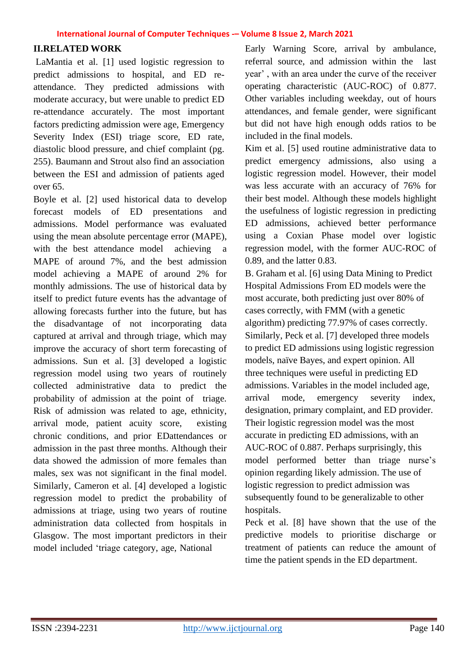## **II.RELATED WORK**

LaMantia et al. [1] used logistic regression to predict admissions to hospital, and ED reattendance. They predicted admissions with moderate accuracy, but were unable to predict ED re-attendance accurately. The most important factors predicting admission were age, Emergency Severity Index (ESI) triage score, ED rate, diastolic blood pressure, and chief complaint (pg. 255). Baumann and Strout also find an association between the ESI and admission of patients aged over 65.

Boyle et al. [2] used historical data to develop forecast models of ED presentations and admissions. Model performance was evaluated using the mean absolute percentage error (MAPE), with the best attendance model achieving MAPE of around 7%, and the best admission model achieving a MAPE of around 2% for monthly admissions. The use of historical data by itself to predict future events has the advantage of allowing forecasts further into the future, but has the disadvantage of not incorporating data captured at arrival and through triage, which may improve the accuracy of short term forecasting of admissions. Sun et al. [3] developed a logistic regression model using two years of routinely collected administrative data to predict the probability of admission at the point of triage. Risk of admission was related to age, ethnicity, arrival mode, patient acuity score, existing chronic conditions, and prior EDattendances or admission in the past three months. Although their data showed the admission of more females than males, sex was not significant in the final model. Similarly, Cameron et al. [4] developed a logistic regression model to predict the probability of admissions at triage, using two years of routine administration data collected from hospitals in Glasgow. The most important predictors in their model included 'triage category, age, National

Early Warning Score, arrival by ambulance, referral source, and admission within the last year' , with an area under the curve of the receiver operating characteristic (AUC-ROC) of 0.877. Other variables including weekday, out of hours attendances, and female gender, were significant but did not have high enough odds ratios to be included in the final models.

Kim et al. [5] used routine administrative data to predict emergency admissions, also using a logistic regression model. However, their model was less accurate with an accuracy of 76% for their best model. Although these models highlight the usefulness of logistic regression in predicting ED admissions, achieved better performance using a Coxian Phase model over logistic regression model, with the former AUC-ROC of 0.89, and the latter 0.83.

B. Graham et al. [6] using Data Mining to Predict Hospital Admissions From ED models were the most accurate, both predicting just over 80% of cases correctly, with FMM (with a genetic algorithm) predicting 77.97% of cases correctly. Similarly, Peck et al. [7] developed three models to predict ED admissions using logistic regression models, naïve Bayes, and expert opinion. All three techniques were useful in predicting ED admissions. Variables in the model included age, arrival mode, emergency severity index, designation, primary complaint, and ED provider. Their logistic regression model was the most accurate in predicting ED admissions, with an AUC-ROC of 0.887. Perhaps surprisingly, this model performed better than triage nurse's opinion regarding likely admission. The use of logistic regression to predict admission was subsequently found to be generalizable to other hospitals.

Peck et al. [8] have shown that the use of the predictive models to prioritise discharge or treatment of patients can reduce the amount of time the patient spends in the ED department.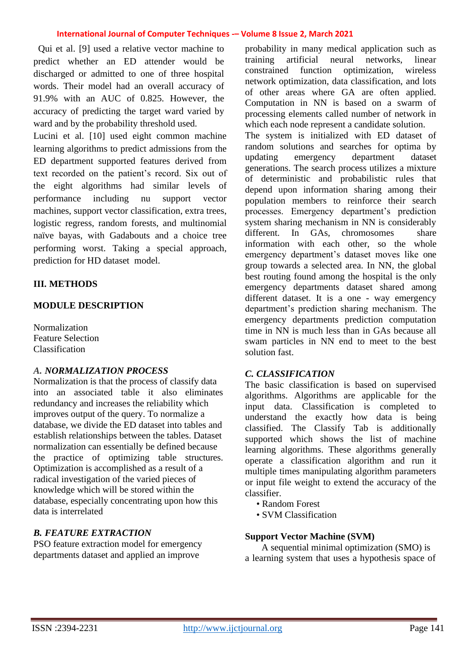Qui et al. [9] used a relative vector machine to predict whether an ED attender would be discharged or admitted to one of three hospital words. Their model had an overall accuracy of 91.9% with an AUC of 0.825. However, the accuracy of predicting the target ward varied by ward and by the probability threshold used.

Lucini et al. [10] used eight common machine learning algorithms to predict admissions from the ED department supported features derived from text recorded on the patient's record. Six out of the eight algorithms had similar levels of performance including nu support vector machines, support vector classification, extra trees, logistic regress, random forests, and multinomial naïve bayas, with Gadabouts and a choice tree performing worst. Taking a special approach, prediction for HD dataset model.

## **III. METHODS**

#### **MODULE DESCRIPTION**

Normalization Feature Selection Classification

#### *A. NORMALIZATION PROCESS*

Normalization is that the process of classify data into an associated table it also eliminates redundancy and increases the reliability which improves output of the query. To normalize a database, we divide the ED dataset into tables and establish relationships between the tables. Dataset normalization can essentially be defined because the practice of optimizing table structures. Optimization is accomplished as a result of a radical investigation of the varied pieces of knowledge which will be stored within the database, especially concentrating upon how this data is interrelated

## *B. FEATURE EXTRACTION*

PSO feature extraction model for emergency departments dataset and applied an improve

probability in many medical application such as training artificial neural networks, linear constrained function optimization, wireless network optimization, data classification, and lots of other areas where GA are often applied. Computation in NN is based on a swarm of processing elements called number of network in which each node represent a candidate solution.

The system is initialized with ED dataset of random solutions and searches for optima by updating emergency department dataset generations. The search process utilizes a mixture of deterministic and probabilistic rules that depend upon information sharing among their population members to reinforce their search processes. Emergency department's prediction system sharing mechanism in NN is considerably different. In GAs, chromosomes share information with each other, so the whole emergency department's dataset moves like one group towards a selected area. In NN, the global best routing found among the hospital is the only emergency departments dataset shared among different dataset. It is a one - way emergency department's prediction sharing mechanism. The emergency departments prediction computation time in NN is much less than in GAs because all swam particles in NN end to meet to the best solution fast.

#### *C. CLASSIFICATION*

The basic classification is based on supervised algorithms. Algorithms are applicable for the input data. Classification is completed to understand the exactly how data is being classified. The Classify Tab is additionally supported which shows the list of machine learning algorithms. These algorithms generally operate a classification algorithm and run it multiple times manipulating algorithm parameters or input file weight to extend the accuracy of the classifier.

- Random Forest
- SVM Classification

## **Support Vector Machine (SVM)**

A sequential minimal optimization (SMO) is a learning system that uses a hypothesis space of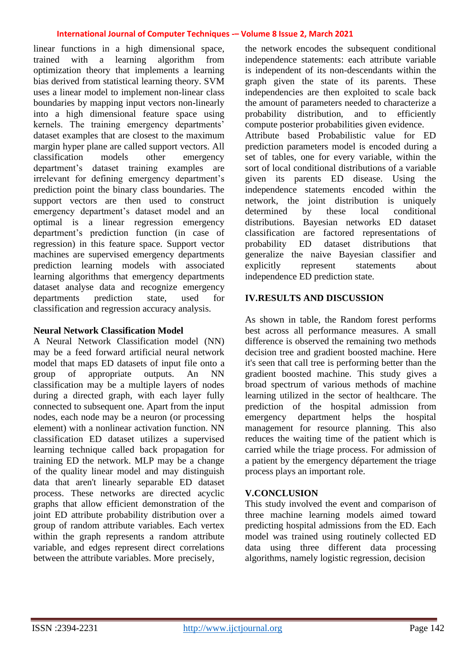linear functions in a high dimensional space, trained with a learning algorithm from optimization theory that implements a learning bias derived from statistical learning theory. SVM uses a linear model to implement non-linear class boundaries by mapping input vectors non-linearly into a high dimensional feature space using kernels. The training emergency departments' dataset examples that are closest to the maximum margin hyper plane are called support vectors. All classification models other emergency department's dataset training examples are irrelevant for defining emergency department's prediction point the binary class boundaries. The support vectors are then used to construct emergency department's dataset model and an optimal is a linear regression emergency department's prediction function (in case of regression) in this feature space. Support vector machines are supervised emergency departments prediction learning models with associated learning algorithms that emergency departments dataset analyse data and recognize emergency departments prediction state, used for classification and regression accuracy analysis.

#### **Neural Network Classification Model**

A Neural Network Classification model (NN) may be a feed forward artificial neural network model that maps ED datasets of input file onto a group of appropriate outputs. An NN classification may be a multiple layers of nodes during a directed graph, with each layer fully connected to subsequent one. Apart from the input nodes, each node may be a neuron (or processing element) with a nonlinear activation function. NN classification ED dataset utilizes a supervised learning technique called back propagation for training ED the network. MLP may be a change of the quality linear model and may distinguish data that aren't linearly separable ED dataset process. These networks are directed acyclic graphs that allow efficient demonstration of the joint ED attribute probability distribution over a group of random attribute variables. Each vertex within the graph represents a random attribute variable, and edges represent direct correlations between the attribute variables. More precisely,

the network encodes the subsequent conditional independence statements: each attribute variable is independent of its non-descendants within the graph given the state of its parents. These independencies are then exploited to scale back the amount of parameters needed to characterize a probability distribution, and to efficiently compute posterior probabilities given evidence. Attribute based Probabilistic value for ED prediction parameters model is encoded during a set of tables, one for every variable, within the sort of local conditional distributions of a variable given its parents ED disease. Using the independence statements encoded within the network, the joint distribution is uniquely determined by these local conditional distributions. Bayesian networks ED dataset classification are factored representations of probability ED dataset distributions that generalize the naive Bayesian classifier and explicitly represent statements about independence ED prediction state.

## **IV.RESULTS AND DISCUSSION**

As shown in table, the Random forest performs best across all performance measures. A small difference is observed the remaining two methods decision tree and gradient boosted machine. Here it's seen that call tree is performing better than the gradient boosted machine. This study gives a broad spectrum of various methods of machine learning utilized in the sector of healthcare. The prediction of the hospital admission from emergency department helps the hospital management for resource planning. This also reduces the waiting time of the patient which is carried while the triage process. For admission of a patient by the emergency département the triage process plays an important role.

## **V.CONCLUSION**

This study involved the event and comparison of three machine learning models aimed toward predicting hospital admissions from the ED. Each model was trained using routinely collected ED data using three different data processing algorithms, namely logistic regression, decision